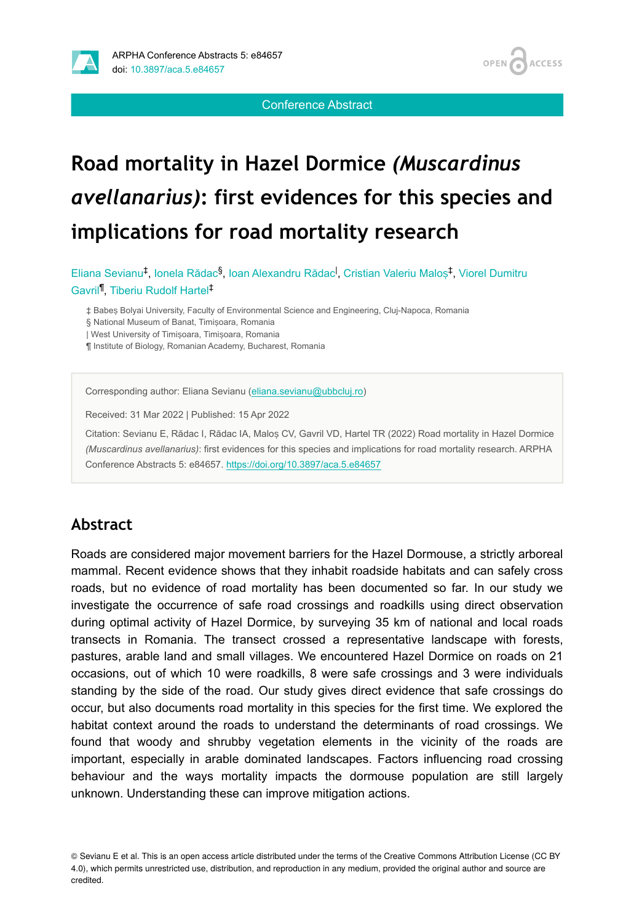

Conference Abstract

**ACCESS** 

**OPEN** 

# **Road mortality in Hazel Dormice** *(Muscardinus avellanarius)***: first evidences for this species and implications for road mortality research**

Eliana Sevianu<sup>‡</sup>, Ionela Rădac<sup>§</sup>, Ioan Alexandru Rădac<sup>I</sup>, Cristian Valeriu Maloș<sup>‡</sup>, Viorel Dumitru Gavril<sup>1</sup>, Tiberiu Rudolf Hartel<sup>‡</sup>

‡ Babeș Bolyai University, Faculty of Environmental Science and Engineering, Cluj-Napoca, Romania

§ National Museum of Banat, Timișoara, Romania

| West University of Timișoara, Timișoara, Romania

¶ Institute of Biology, Romanian Academy, Bucharest, Romania

Corresponding author: Eliana Sevianu ([eliana.sevianu@ubbcluj.ro\)](mailto:eliana.sevianu@ubbcluj.ro)

Received: 31 Mar 2022 | Published: 15 Apr 2022

Citation: Sevianu E, Rădac I, Rădac IA, Maloș CV, Gavril VD, Hartel TR (2022) Road mortality in Hazel Dormice *(Muscardinus avellanarius)*: first evidences for this species and implications for road mortality research. ARPHA Conference Abstracts 5: e84657. <https://doi.org/10.3897/aca.5.e84657>

#### **Abstract**

Roads are considered major movement barriers for the Hazel Dormouse, a strictly arboreal mammal. Recent evidence shows that they inhabit roadside habitats and can safely cross roads, but no evidence of road mortality has been documented so far. In our study we investigate the occurrence of safe road crossings and roadkills using direct observation during optimal activity of Hazel Dormice, by surveying 35 km of national and local roads transects in Romania. The transect crossed a representative landscape with forests, pastures, arable land and small villages. We encountered Hazel Dormice on roads on 21 occasions, out of which 10 were roadkills, 8 were safe crossings and 3 were individuals standing by the side of the road. Our study gives direct evidence that safe crossings do occur, but also documents road mortality in this species for the first time. We explored the habitat context around the roads to understand the determinants of road crossings. We found that woody and shrubby vegetation elements in the vicinity of the roads are important, especially in arable dominated landscapes. Factors influencing road crossing behaviour and the ways mortality impacts the dormouse population are still largely unknown. Understanding these can improve mitigation actions.

<sup>©</sup> Sevianu E et al. This is an open access article distributed under the terms of the Creative Commons Attribution License (CC BY 4.0), which permits unrestricted use, distribution, and reproduction in any medium, provided the original author and source are credited.